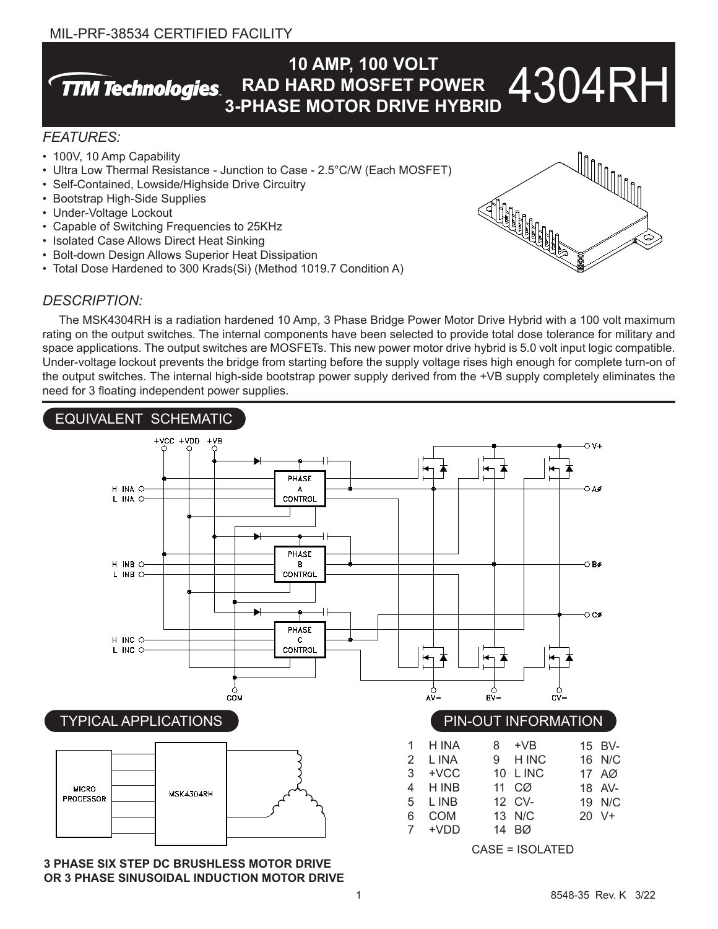## MIL-PRF-38534 CERTIFIED FACILITY

#### **10 AMP, 100 VOLT** 4304RH **TTM Technologies RAD HARD MOSFET POWER 3-PHASE MOTOR DRIVE HYBRID**

## *FEATURES:*

- 100V, 10 Amp Capability
- Ultra Low Thermal Resistance Junction to Case 2.5°C/W (Each MOSFET)
- Self-Contained, Lowside/Highside Drive Circuitry
- Bootstrap High-Side Supplies
- Under-Voltage Lockout
- Capable of Switching Frequencies to 25KHz
- Isolated Case Allows Direct Heat Sinking
- Bolt-down Design Allows Superior Heat Dissipation
- Total Dose Hardened to 300 Krads(Si) (Method 1019.7 Condition A)

## *DESCRIPTION:*

The MSK4304RH is a radiation hardened 10 Amp, 3 Phase Bridge Power Motor Drive Hybrid with a 100 volt maximum rating on the output switches. The internal components have been selected to provide total dose tolerance for military and space applications. The output switches are MOSFETs. This new power motor drive hybrid is 5.0 volt input logic compatible. Under-voltage lockout prevents the bridge from starting before the supply voltage rises high enough for complete turn-on of the output switches. The internal high-side bootstrap power supply derived from the +VB supply completely eliminates the need for 3 floating independent power supplies.



**3 PHASE SIX STEP DC BRUSHLESS MOTOR DRIVE OR 3 PHASE SINUSOIDAL INDUCTION MOTOR DRIVE**

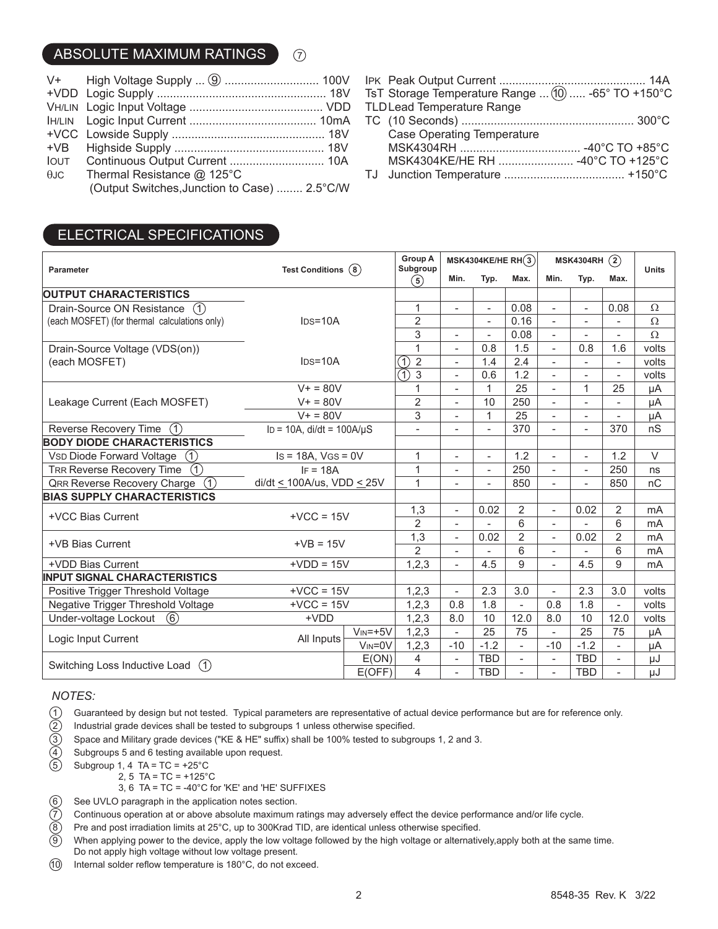## ABSOLUTE MAXIMUM RATINGS  $\bigcap$

|                                              | MSK4304KE/HE RH  -40°C TO +125°C |
|----------------------------------------------|----------------------------------|
|                                              |                                  |
| (Output Switches, Junction to Case)  2.5°C/W |                                  |

- 
- 

| <b>Case Operating Temperature</b> |  |
|-----------------------------------|--|
|                                   |  |
|                                   |  |
|                                   |  |

# ELECTRICAL SPECIFICATIONS

| Parameter                                                   | Test Conditions $(8)$                      |                | <b>Group A</b><br>Subgroup                             | MSK4304KE/HE RH $(3)$    |                          |                          | (2)<br><b>MSK4304RH</b>  |                          |                          | <b>Units</b> |
|-------------------------------------------------------------|--------------------------------------------|----------------|--------------------------------------------------------|--------------------------|--------------------------|--------------------------|--------------------------|--------------------------|--------------------------|--------------|
|                                                             |                                            |                | $\circledast$                                          | Min.                     | Typ.                     | Max.                     | Min.                     | Typ.                     | Max.                     |              |
| <b>OUTPUT CHARACTERISTICS</b>                               |                                            |                |                                                        |                          |                          |                          |                          |                          |                          |              |
| Drain-Source ON Resistance<br>(1)                           | $IDS=10A$                                  |                | 1                                                      | $\blacksquare$           | $\blacksquare$           | 0.08                     | $\overline{a}$           | $\overline{\phantom{a}}$ | 0.08                     | $\Omega$     |
| (each MOSFET) (for thermal calculations only)               |                                            |                | $\overline{2}$                                         |                          |                          | 0.16                     | $\overline{\phantom{a}}$ |                          |                          | Ω            |
|                                                             |                                            |                | $\overline{3}$                                         | $\blacksquare$           | $\blacksquare$           | 0.08                     | $\blacksquare$           | $\blacksquare$           | $\overline{\phantom{0}}$ | $\Omega$     |
| Drain-Source Voltage (VDS(on))                              | $IDS=10A$                                  |                | $\mathbf{1}$                                           | $\blacksquare$           | 0.8                      | 1.5                      | $\blacksquare$           | 0.8                      | 1.6                      | volts        |
| (each MOSFET)                                               |                                            |                | $\overline{2}$<br>$\left( \widehat{\mathbb{1}}\right)$ |                          | 1.4                      | 2.4                      |                          |                          | $\overline{a}$           | volts        |
|                                                             |                                            |                | 3<br>A)                                                | $\blacksquare$           | 0.6                      | 1.2                      | $\overline{\phantom{0}}$ | $\overline{\phantom{a}}$ | $\overline{\phantom{0}}$ | volts        |
|                                                             | $V + 80V$                                  |                | $\mathbf{1}$                                           | $\overline{\phantom{0}}$ | 1                        | 25                       | $\overline{a}$           | $\mathbf{1}$             | 25                       | μA           |
| Leakage Current (Each MOSFET)                               | $V + 80V$                                  |                | $\overline{2}$                                         | $\overline{\phantom{a}}$ | 10                       | 250                      | $\overline{\phantom{0}}$ |                          | $\overline{\phantom{0}}$ | μA           |
|                                                             | $\overline{V}$ = 80V                       |                | 3                                                      | $\overline{\phantom{a}}$ | 1                        | 25                       | $\overline{\phantom{0}}$ | $\overline{\phantom{a}}$ | $\overline{\phantom{0}}$ | μA           |
| Reverse Recovery Time<br>(1)                                | $\overline{ID}$ = 10A, di/dt = 100A/µS     |                | $\overline{a}$                                         |                          |                          | 370                      | $\overline{a}$           | $\overline{a}$           | 370                      | nS           |
| <b>BODY DIODE CHARACTERISTICS</b>                           |                                            |                |                                                        |                          |                          |                          |                          |                          |                          |              |
| <b>VSD Diode Forward Voltage</b>                            | $\circled{\pi}$<br>$Is = 18A$ , $VGS = 0V$ |                | 1                                                      | $\overline{\phantom{a}}$ | $\overline{\phantom{a}}$ | 1.2                      | $\overline{a}$           | $\blacksquare$           | 1.2                      | $\vee$       |
| $\bigcap$<br><b>TRR Reverse Recovery Time</b><br>$IF = 18A$ |                                            |                | 1                                                      |                          |                          | 250                      | $\overline{\phantom{0}}$ | $\overline{\phantom{a}}$ | 250                      | ns           |
| (1)<br><b>QRR Reverse Recovery Charge</b>                   | $di/dt \leq 100$ A/us, VDD $\leq 25$ V     |                | $\mathbf{1}$                                           | $\overline{\phantom{a}}$ | $\overline{\phantom{a}}$ | 850                      | $\overline{\phantom{0}}$ | $\overline{\phantom{a}}$ | 850                      | nC           |
| <b>BIAS SUPPLY CHARACTERISTICS</b>                          |                                            |                |                                                        |                          |                          |                          |                          |                          |                          |              |
| +VCC Bias Current                                           | $+VCC = 15V$                               |                | 1,3                                                    | $\overline{\phantom{a}}$ | 0.02                     | $\overline{2}$           | $\overline{a}$           | 0.02                     | $\overline{2}$           | mA           |
|                                                             |                                            |                | $\overline{2}$                                         | $\overline{a}$           |                          | 6                        | $\overline{\phantom{0}}$ |                          | 6                        | mA           |
| +VB Bias Current                                            | $+VB = 15V$                                |                | 1,3                                                    | $\blacksquare$           | 0.02                     | $\overline{2}$           | $\overline{a}$           | 0.02                     | $\overline{2}$           | mA           |
|                                                             |                                            |                | $\overline{2}$                                         | $\overline{\phantom{a}}$ |                          | 6                        | $\overline{\phantom{0}}$ |                          | 6                        | mA           |
| +VDD Bias Current                                           | $+VDD = 15V$                               |                | 1, 2, 3                                                | $\blacksquare$           | 4.5                      | 9                        | $\overline{a}$           | 4.5                      | 9                        | mA           |
| <b>INPUT SIGNAL CHARACTERISTICS</b>                         |                                            |                |                                                        |                          |                          |                          |                          |                          |                          |              |
| Positive Trigger Threshold Voltage                          | $+VCC = 15V$                               |                | 1, 2, 3                                                | $\overline{\phantom{a}}$ | 2.3                      | 3.0                      | $\blacksquare$           | 2.3                      | 3.0                      | volts        |
| Negative Trigger Threshold Voltage<br>$+VCC = 15V$          |                                            |                | 1, 2, 3                                                | 0.8                      | 1.8                      | $\overline{a}$           | 0.8                      | 1.8                      | $\overline{\phantom{0}}$ | volts        |
| Under-voltage Lockout<br>(6)                                | $+VDD$                                     |                | 1, 2, 3                                                | 8.0                      | 10                       | 12.0                     | 8.0                      | 10                       | 12.0                     | volts        |
| Logic Input Current                                         | All Inputs                                 | $V_{IN} = +5V$ | 1, 2, 3                                                | $\blacksquare$           | 25                       | 75                       | $\overline{a}$           | 25                       | 75                       | μA           |
|                                                             |                                            | $V_{IN} = 0V$  | 1,2,3                                                  | $-10$                    | $-1.2$                   | $\overline{a}$           | $-10$                    | $-1.2$                   | $\overline{\phantom{0}}$ | μA           |
| Switching Loss Inductive Load (1)                           |                                            | E(ON)          | $\overline{4}$                                         | $\overline{\phantom{a}}$ | <b>TBD</b>               | $\overline{\phantom{0}}$ | $\overline{\phantom{0}}$ | <b>TBD</b>               | $\qquad \qquad -$        | μJ           |
|                                                             |                                            | E(OFF)         | $\overline{\mathcal{L}}$                               | $\blacksquare$           | <b>TBD</b>               | $\overline{a}$           |                          | <b>TBD</b>               | $\overline{\phantom{0}}$ | μJ           |

#### *NOTES:*

- <ul>\n<li>Quaranteed by design but not tested. Typical parameters are representative of actual device performance but are for reference only. Industrial grade devices shall be tested to subgroups 1 unless otherwise specified.</li>\n<li>Space and Military grade devices ("KE &amp; HE" suffix) shall be 100% tested to subgroups 1, 2 and 3.</li>\n<li>Subgroups 5 and 6 testing available upon request.</li>\n<li>Subgroup 1, 4 TA = TC = +25°C</li>\n</ul>
- Industrial grade devices shall be tested to subgroups 1 unless otherwise specified.
- 3 Space and Military grade devices ("KE & HE" suffix) shall be 100% tested to subgroups 1, 2 and 3.
- Subgroups 5 and 6 testing available upon request.
- Subgroup 1, 4 TA =  $TC = +25^{\circ}C$ 
	- 2, 5 TA = TC =  $+125^{\circ}$ C
	- 3, 6 TA = TC = -40°C for 'KE' and 'HE' SUFFIXES
- 
- 7 Continuous operation at or above absolute maximum ratings may adversely effect the device performance and/or life cycle.
- 8 Pre and post irradiation limits at 25°C, up to 300Krad TID, are identical unless otherwise specified.
- 6 See UVLO paragraph in the application notes section.<br>  $\overline{7}$  Continuous operation at or above absolute maximum r<br>  $\overline{8}$  Pre and post irradiation limits at 25°C, up to 300Krad T<br>  $\overline{9}$  When applying power to the When applying power to the device, apply the low voltage followed by the high voltage or alternatively,apply both at the same time. Do not apply high voltage without low voltage present.
- 10 Internal solder reflow temperature is 180°C, do not exceed.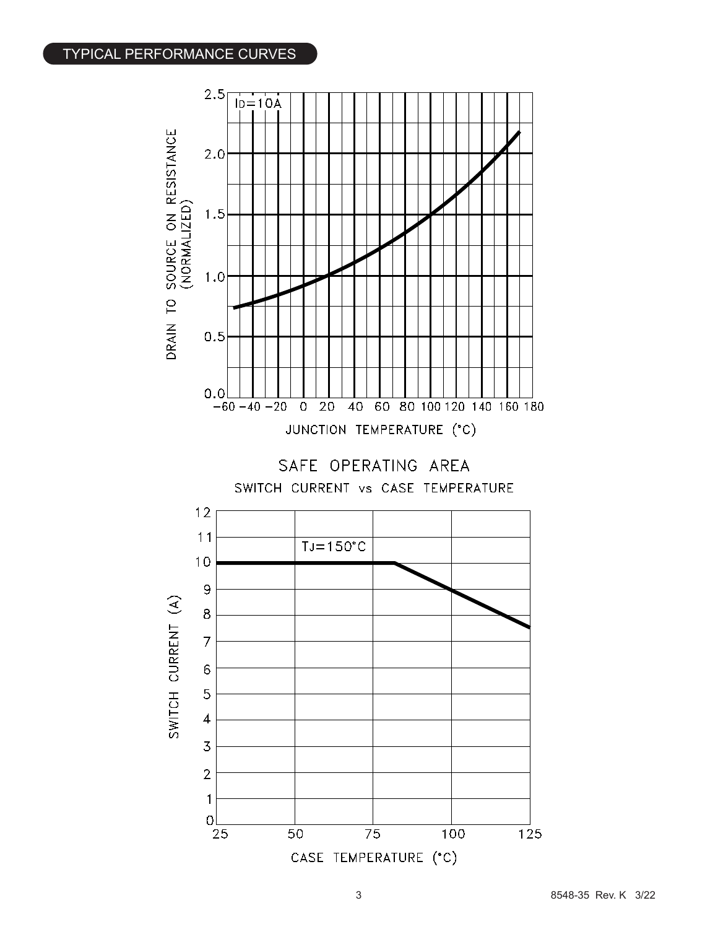## TYPICAL PERFORMANCE CURVES

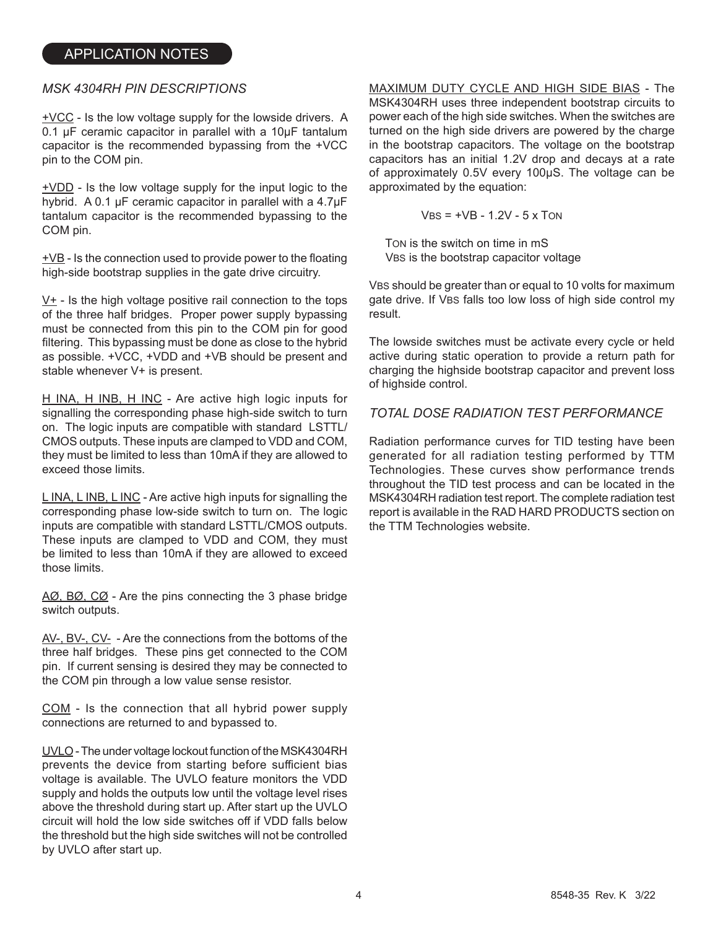#### *MSK 4304RH PIN DESCRIPTIONS*

+VCC - Is the low voltage supply for the lowside drivers. A 0.1 µF ceramic capacitor in parallel with a 10µF tantalum capacitor is the recommended bypassing from the +VCC pin to the COM pin.

+VDD - Is the low voltage supply for the input logic to the hybrid. A 0.1 µF ceramic capacitor in parallel with a 4.7uF tantalum capacitor is the recommended bypassing to the COM pin.

 $\pm$ VB - Is the connection used to provide power to the floating high-side bootstrap supplies in the gate drive circuitry.

V+ - Is the high voltage positive rail connection to the tops of the three half bridges. Proper power supply bypassing must be connected from this pin to the COM pin for good filtering. This bypassing must be done as close to the hybrid as possible. +VCC, +VDD and +VB should be present and stable whenever V+ is present.

H INA, H INB, H INC - Are active high logic inputs for signalling the corresponding phase high-side switch to turn on. The logic inputs are compatible with standard LSTTL/ CMOS outputs. These inputs are clamped to VDD and COM, they must be limited to less than 10mA if they are allowed to exceed those limits.

L INA, L INB, L INC - Are active high inputs for signalling the corresponding phase low-side switch to turn on. The logic inputs are compatible with standard LSTTL/CMOS outputs. These inputs are clamped to VDD and COM, they must be limited to less than 10mA if they are allowed to exceed those limits.

AØ, BØ, CØ - Are the pins connecting the 3 phase bridge switch outputs.

AV-, BV-, CV- - Are the connections from the bottoms of the three half bridges. These pins get connected to the COM pin. If current sensing is desired they may be connected to the COM pin through a low value sense resistor.

COM - Is the connection that all hybrid power supply connections are returned to and bypassed to.

UVLO - The under voltage lockout function of the MSK4304RH prevents the device from starting before sufficient bias voltage is available. The UVLO feature monitors the VDD supply and holds the outputs low until the voltage level rises above the threshold during start up. After start up the UVLO circuit will hold the low side switches off if VDD falls below the threshold but the high side switches will not be controlled by UVLO after start up.

#### MAXIMUM DUTY CYCLE AND HIGH SIDE BIAS - The MSK4304RH uses three independent bootstrap circuits to power each of the high side switches. When the switches are turned on the high side drivers are powered by the charge

in the bootstrap capacitors. The voltage on the bootstrap capacitors has an initial 1.2V drop and decays at a rate of approximately 0.5V every 100µS. The voltage can be approximated by the equation:

$$
VBS = +VB - 1.2V - 5 \times \text{TON}
$$

 TON is the switch on time in mS VBS is the bootstrap capacitor voltage

VBS should be greater than or equal to 10 volts for maximum gate drive. If VBS falls too low loss of high side control my result.

The lowside switches must be activate every cycle or held active during static operation to provide a return path for charging the highside bootstrap capacitor and prevent loss of highside control.

#### *TOTAL DOSE RADIATION TEST PERFORMANCE*

Radiation performance curves for TID testing have been generated for all radiation testing performed by TTM Technologies. These curves show performance trends throughout the TID test process and can be located in the MSK4304RH radiation test report. The complete radiation test report is available in the RAD HARD PRODUCTS section on the TTM Technologies website.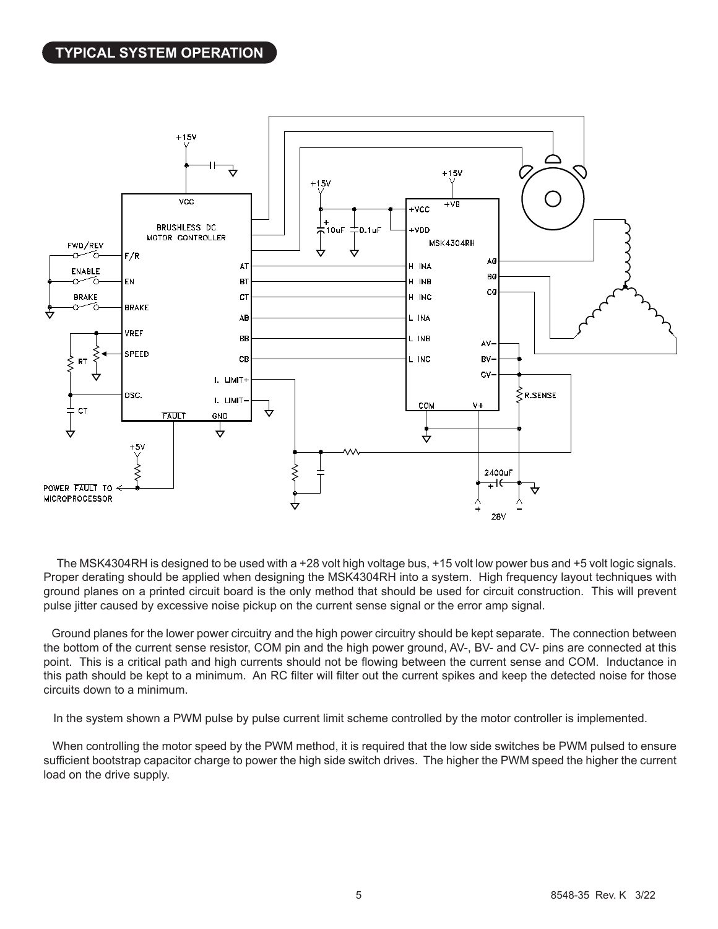

The MSK4304RH is designed to be used with a +28 volt high voltage bus, +15 volt low power bus and +5 volt logic signals. Proper derating should be applied when designing the MSK4304RH into a system. High frequency layout techniques with ground planes on a printed circuit board is the only method that should be used for circuit construction. This will prevent pulse jitter caused by excessive noise pickup on the current sense signal or the error amp signal.

 Ground planes for the lower power circuitry and the high power circuitry should be kept separate. The connection between the bottom of the current sense resistor, COM pin and the high power ground, AV-, BV- and CV- pins are connected at this point. This is a critical path and high currents should not be flowing between the current sense and COM. Inductance in this path should be kept to a minimum. An RC filter will filter out the current spikes and keep the detected noise for those circuits down to a minimum.

In the system shown a PWM pulse by pulse current limit scheme controlled by the motor controller is implemented.

 When controlling the motor speed by the PWM method, it is required that the low side switches be PWM pulsed to ensure sufficient bootstrap capacitor charge to power the high side switch drives. The higher the PWM speed the higher the current load on the drive supply.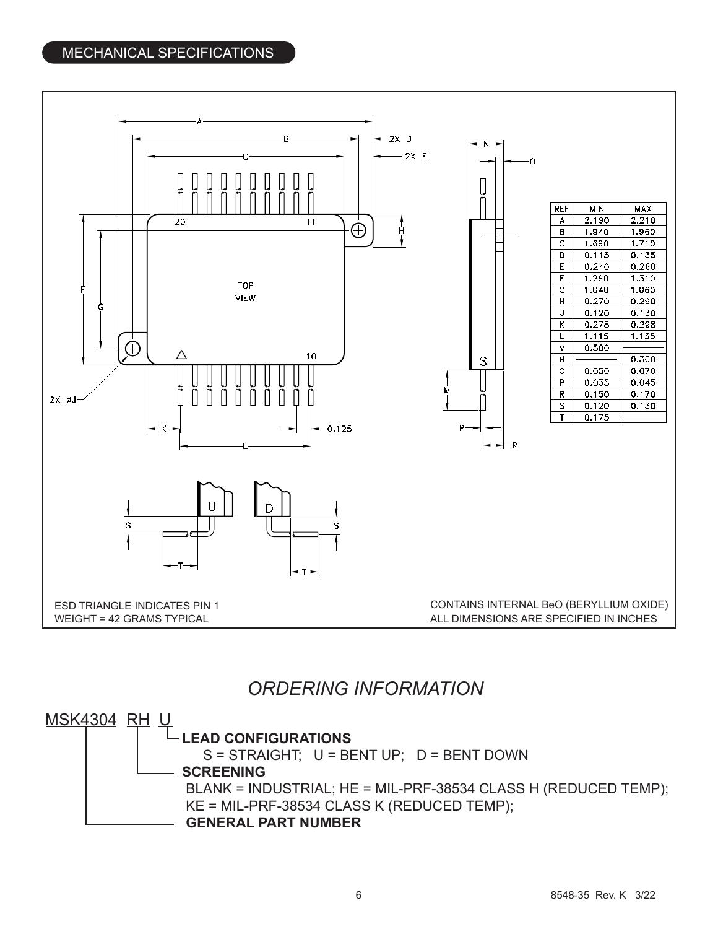## MECHANICAL SPECIFICATIONS



# *ORDERING INFORMATION*